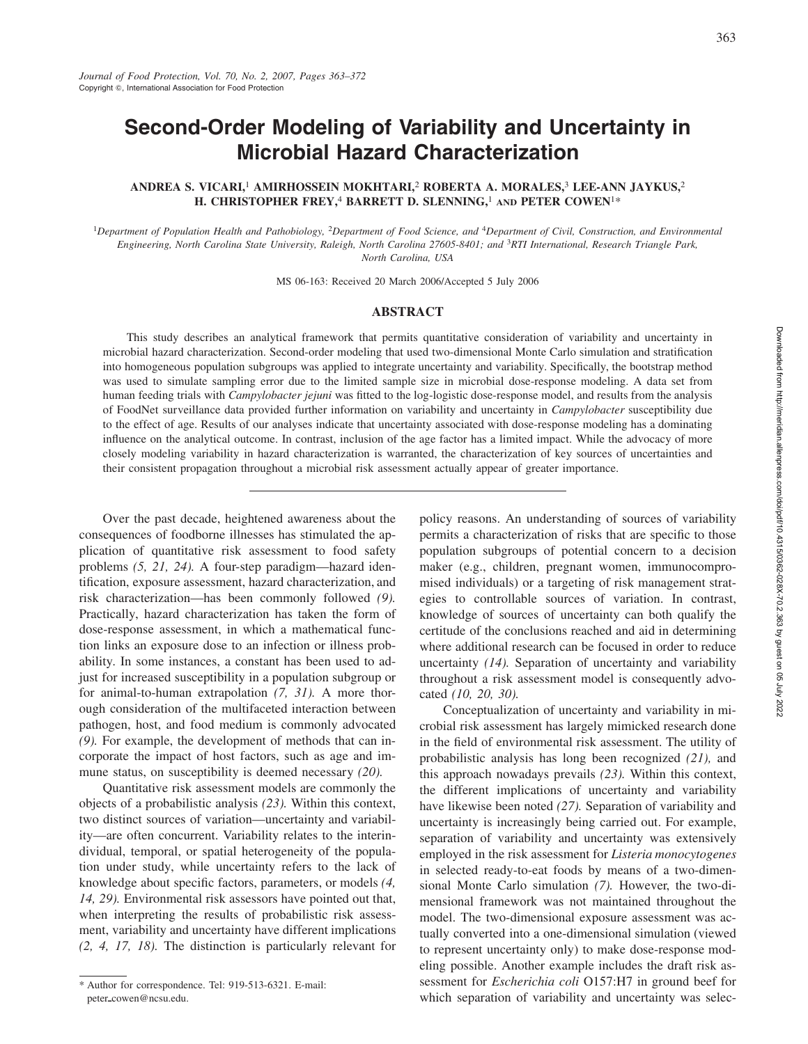# **Second-Order Modeling of Variability and Uncertainty in Microbial Hazard Characterization**

# **ANDREA S. VICARI,**<sup>1</sup> **AMIRHOSSEIN MOKHTARI,**<sup>2</sup> **ROBERTA A. MORALES,**<sup>3</sup> **LEE-ANN JAYKUS,**<sup>2</sup> **H. CHRISTOPHER FREY,**<sup>4</sup> **BARRETT D. SLENNING,**<sup>1</sup> **AND PETER COWEN**1\*

<sup>1</sup>*Department of Population Health and Pathobiology,* <sup>2</sup>*Department of Food Science, and* <sup>4</sup>*Department of Civil, Construction, and Environmental Engineering, North Carolina State University, Raleigh, North Carolina 27605-8401; and* <sup>3</sup>*RTI International, Research Triangle Park, North Carolina, USA*

MS 06-163: Received 20 March 2006/Accepted 5 July 2006

## **ABSTRACT**

This study describes an analytical framework that permits quantitative consideration of variability and uncertainty in microbial hazard characterization. Second-order modeling that used two-dimensional Monte Carlo simulation and stratification into homogeneous population subgroups was applied to integrate uncertainty and variability. Specifically, the bootstrap method was used to simulate sampling error due to the limited sample size in microbial dose-response modeling. A data set from human feeding trials with *Campylobacter jejuni* was fitted to the log-logistic dose-response model, and results from the analysis of FoodNet surveillance data provided further information on variability and uncertainty in *Campylobacter* susceptibility due to the effect of age. Results of our analyses indicate that uncertainty associated with dose-response modeling has a dominating influence on the analytical outcome. In contrast, inclusion of the age factor has a limited impact. While the advocacy of more closely modeling variability in hazard characterization is warranted, the characterization of key sources of uncertainties and their consistent propagation throughout a microbial risk assessment actually appear of greater importance.

Over the past decade, heightened awareness about the consequences of foodborne illnesses has stimulated the application of quantitative risk assessment to food safety problems *(5, 21, 24).* A four-step paradigm—hazard identification, exposure assessment, hazard characterization, and risk characterization—has been commonly followed *(9).* Practically, hazard characterization has taken the form of dose-response assessment, in which a mathematical function links an exposure dose to an infection or illness probability. In some instances, a constant has been used to adjust for increased susceptibility in a population subgroup or for animal-to-human extrapolation *(7, 31).* A more thorough consideration of the multifaceted interaction between pathogen, host, and food medium is commonly advocated *(9).* For example, the development of methods that can incorporate the impact of host factors, such as age and immune status, on susceptibility is deemed necessary *(20).*

Quantitative risk assessment models are commonly the objects of a probabilistic analysis *(23).* Within this context, two distinct sources of variation—uncertainty and variability—are often concurrent. Variability relates to the interindividual, temporal, or spatial heterogeneity of the population under study, while uncertainty refers to the lack of knowledge about specific factors, parameters, or models *(4, 14, 29).* Environmental risk assessors have pointed out that, when interpreting the results of probabilistic risk assessment, variability and uncertainty have different implications *(2, 4, 17, 18).* The distinction is particularly relevant for

policy reasons. An understanding of sources of variability permits a characterization of risks that are specific to those population subgroups of potential concern to a decision maker (e.g., children, pregnant women, immunocompromised individuals) or a targeting of risk management strategies to controllable sources of variation. In contrast, knowledge of sources of uncertainty can both qualify the certitude of the conclusions reached and aid in determining where additional research can be focused in order to reduce uncertainty *(14).* Separation of uncertainty and variability throughout a risk assessment model is consequently advocated *(10, 20, 30).*

Conceptualization of uncertainty and variability in microbial risk assessment has largely mimicked research done in the field of environmental risk assessment. The utility of probabilistic analysis has long been recognized *(21),* and this approach nowadays prevails *(23).* Within this context, the different implications of uncertainty and variability have likewise been noted *(27).* Separation of variability and uncertainty is increasingly being carried out. For example, separation of variability and uncertainty was extensively employed in the risk assessment for *Listeria monocytogenes* in selected ready-to-eat foods by means of a two-dimensional Monte Carlo simulation *(7).* However, the two-dimensional framework was not maintained throughout the model. The two-dimensional exposure assessment was actually converted into a one-dimensional simulation (viewed to represent uncertainty only) to make dose-response modeling possible. Another example includes the draft risk assessment for *Escherichia coli* O157:H7 in ground beef for which separation of variability and uncertainty was selec-

<sup>\*</sup> Author for correspondence. Tel: 919-513-6321. E-mail: peter\_cowen@ncsu.edu.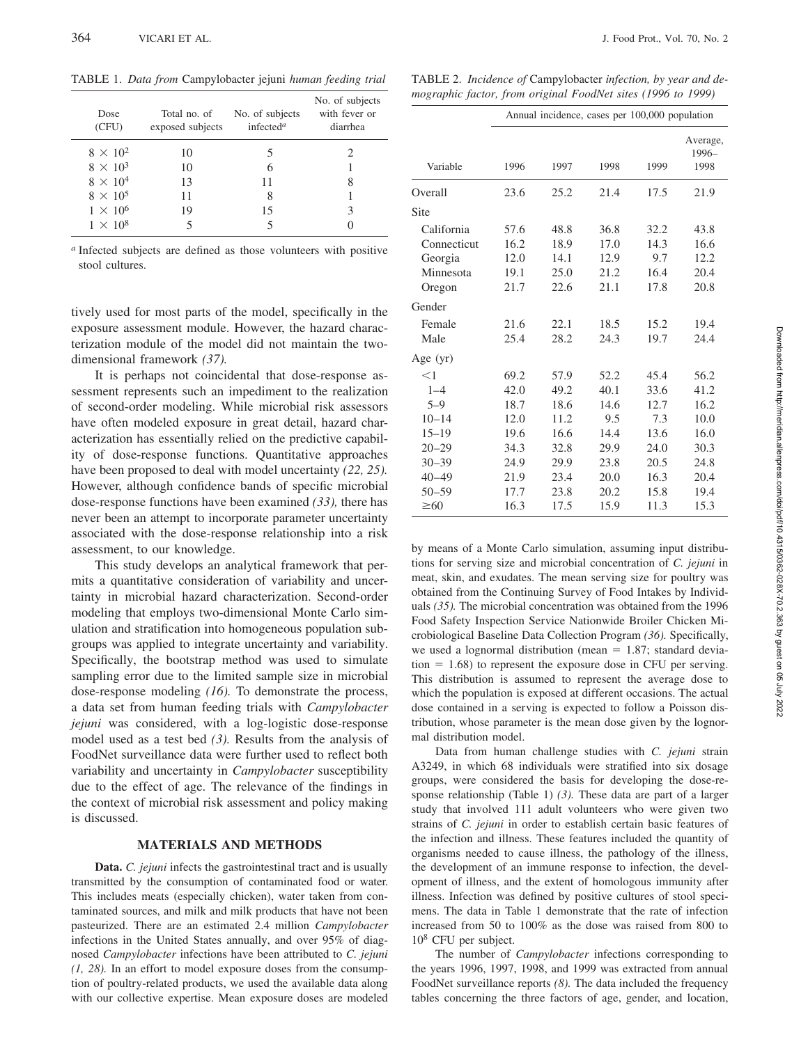TABLE 1. *Data from* Campylobacter jejuni *human feeding trial*

| Dose<br>(CFU)   | Total no. of<br>exposed subjects | No. of subjects<br>infected <sup>a</sup> | No. of subjects<br>with fever or<br>diarrhea |
|-----------------|----------------------------------|------------------------------------------|----------------------------------------------|
| $8 \times 10^2$ | 10                               |                                          |                                              |
| $8 \times 10^3$ | 10                               | 6                                        |                                              |
| $8 \times 10^4$ | 13                               | 11                                       | 8                                            |
| $8 \times 10^5$ | 11                               | 8                                        |                                              |
| $1 \times 10^6$ | 19                               | 15                                       | 3                                            |
| $1 \times 10^8$ |                                  |                                          |                                              |

*<sup>a</sup>* Infected subjects are defined as those volunteers with positive stool cultures.

tively used for most parts of the model, specifically in the exposure assessment module. However, the hazard characterization module of the model did not maintain the twodimensional framework *(37).*

It is perhaps not coincidental that dose-response assessment represents such an impediment to the realization of second-order modeling. While microbial risk assessors have often modeled exposure in great detail, hazard characterization has essentially relied on the predictive capability of dose-response functions. Quantitative approaches have been proposed to deal with model uncertainty *(22, 25).* However, although confidence bands of specific microbial dose-response functions have been examined *(33),* there has never been an attempt to incorporate parameter uncertainty associated with the dose-response relationship into a risk assessment, to our knowledge.

This study develops an analytical framework that permits a quantitative consideration of variability and uncertainty in microbial hazard characterization. Second-order modeling that employs two-dimensional Monte Carlo simulation and stratification into homogeneous population subgroups was applied to integrate uncertainty and variability. Specifically, the bootstrap method was used to simulate sampling error due to the limited sample size in microbial dose-response modeling *(16).* To demonstrate the process, a data set from human feeding trials with *Campylobacter jejuni* was considered, with a log-logistic dose-response model used as a test bed *(3).* Results from the analysis of FoodNet surveillance data were further used to reflect both variability and uncertainty in *Campylobacter* susceptibility due to the effect of age. The relevance of the findings in the context of microbial risk assessment and policy making is discussed.

#### **MATERIALS AND METHODS**

**Data.** *C. jejuni* infects the gastrointestinal tract and is usually transmitted by the consumption of contaminated food or water. This includes meats (especially chicken), water taken from contaminated sources, and milk and milk products that have not been pasteurized. There are an estimated 2.4 million *Campylobacter* infections in the United States annually, and over 95% of diagnosed *Campylobacter* infections have been attributed to *C. jejuni (1, 28).* In an effort to model exposure doses from the consumption of poultry-related products, we used the available data along with our collective expertise. Mean exposure doses are modeled

|             | Annual incidence, cases per 100,000 population |      |      |      |                           |
|-------------|------------------------------------------------|------|------|------|---------------------------|
| Variable    | 1996                                           | 1997 | 1998 | 1999 | Average,<br>1996-<br>1998 |
| Overall     | 23.6                                           | 25.2 | 21.4 | 17.5 | 21.9                      |
| Site        |                                                |      |      |      |                           |
| California  | 57.6                                           | 48.8 | 36.8 | 32.2 | 43.8                      |
| Connecticut | 16.2                                           | 18.9 | 17.0 | 14.3 | 16.6                      |
| Georgia     | 12.0                                           | 14.1 | 12.9 | 9.7  | 12.2                      |
| Minnesota   | 19.1                                           | 25.0 | 21.2 | 16.4 | 20.4                      |
| Oregon      | 21.7                                           | 22.6 | 21.1 | 17.8 | 20.8                      |
| Gender      |                                                |      |      |      |                           |
| Female      | 21.6                                           | 22.1 | 18.5 | 15.2 | 19.4                      |
| Male        | 25.4                                           | 28.2 | 24.3 | 19.7 | 24.4                      |
| Age $(yr)$  |                                                |      |      |      |                           |
| <1          | 69.2                                           | 57.9 | 52.2 | 45.4 | 56.2                      |
| $1 - 4$     | 42.0                                           | 49.2 | 40.1 | 33.6 | 41.2                      |
| $5 - 9$     | 18.7                                           | 18.6 | 14.6 | 12.7 | 16.2                      |
| $10 - 14$   | 12.0                                           | 11.2 | 9.5  | 7.3  | 10.0                      |
| $15 - 19$   | 19.6                                           | 16.6 | 14.4 | 13.6 | 16.0                      |
| $20 - 29$   | 34.3                                           | 32.8 | 29.9 | 24.0 | 30.3                      |
| $30 - 39$   | 24.9                                           | 29.9 | 23.8 | 20.5 | 24.8                      |
| $40 - 49$   | 21.9                                           | 23.4 | 20.0 | 16.3 | 20.4                      |
| $50 - 59$   | 17.7                                           | 23.8 | 20.2 | 15.8 | 19.4                      |
| $\geq 60$   | 16.3                                           | 17.5 | 15.9 | 11.3 | 15.3                      |

by means of a Monte Carlo simulation, assuming input distributions for serving size and microbial concentration of *C. jejuni* in meat, skin, and exudates. The mean serving size for poultry was obtained from the Continuing Survey of Food Intakes by Individuals *(35).* The microbial concentration was obtained from the 1996 Food Safety Inspection Service Nationwide Broiler Chicken Microbiological Baseline Data Collection Program *(36).* Specifically, we used a lognormal distribution (mean  $= 1.87$ ; standard devia- $\tau$  tion = 1.68) to represent the exposure dose in CFU per serving. This distribution is assumed to represent the average dose to which the population is exposed at different occasions. The actual dose contained in a serving is expected to follow a Poisson distribution, whose parameter is the mean dose given by the lognormal distribution model.

Data from human challenge studies with *C. jejuni* strain A3249, in which 68 individuals were stratified into six dosage groups, were considered the basis for developing the dose-response relationship (Table 1) *(3).* These data are part of a larger study that involved 111 adult volunteers who were given two strains of *C. jejuni* in order to establish certain basic features of the infection and illness. These features included the quantity of organisms needed to cause illness, the pathology of the illness, the development of an immune response to infection, the development of illness, and the extent of homologous immunity after illness. Infection was defined by positive cultures of stool specimens. The data in Table 1 demonstrate that the rate of infection increased from 50 to 100% as the dose was raised from 800 to 108 CFU per subject.

The number of *Campylobacter* infections corresponding to the years 1996, 1997, 1998, and 1999 was extracted from annual FoodNet surveillance reports *(8).* The data included the frequency tables concerning the three factors of age, gender, and location,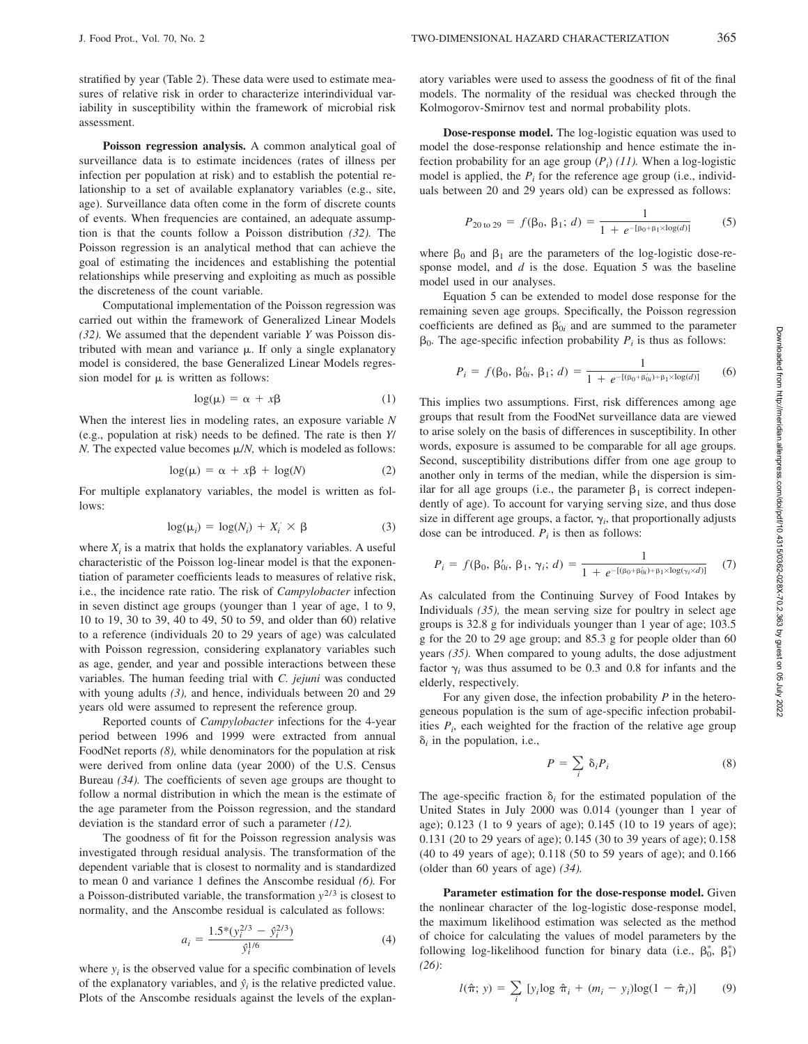stratified by year (Table 2). These data were used to estimate measures of relative risk in order to characterize interindividual variability in susceptibility within the framework of microbial risk assessment.

**Poisson regression analysis.** A common analytical goal of surveillance data is to estimate incidences (rates of illness per infection per population at risk) and to establish the potential relationship to a set of available explanatory variables (e.g., site, age). Surveillance data often come in the form of discrete counts of events. When frequencies are contained, an adequate assumption is that the counts follow a Poisson distribution *(32).* The Poisson regression is an analytical method that can achieve the goal of estimating the incidences and establishing the potential relationships while preserving and exploiting as much as possible the discreteness of the count variable.

Computational implementation of the Poisson regression was carried out within the framework of Generalized Linear Models *(32).* We assumed that the dependent variable *Y* was Poisson distributed with mean and variance  $\mu$ . If only a single explanatory model is considered, the base Generalized Linear Models regression model for  $\mu$  is written as follows:

$$
\log(\mu) = \alpha + x\beta \tag{1}
$$

When the interest lies in modeling rates, an exposure variable *N* (e.g., population at risk) needs to be defined. The rate is then *Y*/ *N*. The expected value becomes  $\mu/N$ , which is modeled as follows:

$$
\log(\mu) = \alpha + x\beta + \log(N) \tag{2}
$$

For multiple explanatory variables, the model is written as follows:

$$
\log(\mu_i) = \log(N_i) + X_i' \times \beta \tag{3}
$$

where  $X_i$  is a matrix that holds the explanatory variables. A useful characteristic of the Poisson log-linear model is that the exponentiation of parameter coefficients leads to measures of relative risk, i.e., the incidence rate ratio. The risk of *Campylobacter* infection in seven distinct age groups (younger than 1 year of age, 1 to 9, 10 to 19, 30 to 39, 40 to 49, 50 to 59, and older than 60) relative to a reference (individuals 20 to 29 years of age) was calculated with Poisson regression, considering explanatory variables such as age, gender, and year and possible interactions between these variables. The human feeding trial with *C. jejuni* was conducted with young adults *(3),* and hence, individuals between 20 and 29 years old were assumed to represent the reference group.

Reported counts of *Campylobacter* infections for the 4-year period between 1996 and 1999 were extracted from annual FoodNet reports *(8),* while denominators for the population at risk were derived from online data (year 2000) of the U.S. Census Bureau *(34).* The coefficients of seven age groups are thought to follow a normal distribution in which the mean is the estimate of the age parameter from the Poisson regression, and the standard deviation is the standard error of such a parameter *(12).*

The goodness of fit for the Poisson regression analysis was investigated through residual analysis. The transformation of the dependent variable that is closest to normality and is standardized to mean 0 and variance 1 defines the Anscombe residual *(6).* For a Poisson-distributed variable, the transformation  $y^{2/3}$  is closest to normality, and the Anscombe residual is calculated as follows:

$$
a_i = \frac{1.5^*(y_i^{2/3} - \hat{y}_i^{2/3})}{\hat{y}_i^{1/6}}
$$
(4)

where  $y_i$  is the observed value for a specific combination of levels of the explanatory variables, and  $\hat{y}_i$  is the relative predicted value. Plots of the Anscombe residuals against the levels of the explanatory variables were used to assess the goodness of fit of the final models. The normality of the residual was checked through the Kolmogorov-Smirnov test and normal probability plots.

**Dose-response model.** The log-logistic equation was used to model the dose-response relationship and hence estimate the infection probability for an age group  $(P_i)$   $(11)$ . When a log-logistic model is applied, the *P<sub>i</sub>* for the reference age group (i.e., individuals between 20 and 29 years old) can be expressed as follows:

$$
P_{20 \text{ to } 29} = f(\beta_0, \beta_1; d) = \frac{1}{1 + e^{-[\beta_0 + \beta_1 \times \log(d)]}} \tag{5}
$$

where  $\beta_0$  and  $\beta_1$  are the parameters of the log-logistic dose-response model, and *d* is the dose. Equation 5 was the baseline model used in our analyses.

Equation 5 can be extended to model dose response for the remaining seven age groups. Specifically, the Poisson regression coefficients are defined as  $\beta'_{0i}$  and are summed to the parameter  $\beta_0$ . The age-specific infection probability  $P_i$  is thus as follows:

$$
P_i = f(\beta_0, \beta'_{0i}, \beta_1; d) = \frac{1}{1 + e^{-[(\beta_0 + \beta'_{0i}) + \beta_1 \times \log(d)]}}
$$
(6)

This implies two assumptions. First, risk differences among age groups that result from the FoodNet surveillance data are viewed to arise solely on the basis of differences in susceptibility. In other words, exposure is assumed to be comparable for all age groups. Second, susceptibility distributions differ from one age group to another only in terms of the median, while the dispersion is similar for all age groups (i.e., the parameter  $\beta_1$  is correct independently of age). To account for varying serving size, and thus dose size in different age groups, a factor,  $\gamma_i$ , that proportionally adjusts dose can be introduced.  $P_i$  is then as follows:

$$
P_i = f(\beta_0, \beta'_{0i}, \beta_1, \gamma_i; d) = \frac{1}{1 + e^{-[(\beta_0 + \beta'_{0i}) + \beta_1 \times \log(\gamma_i \times d)]}} \quad (7)
$$

As calculated from the Continuing Survey of Food Intakes by Individuals *(35),* the mean serving size for poultry in select age groups is 32.8 g for individuals younger than 1 year of age; 103.5 g for the 20 to 29 age group; and 85.3 g for people older than 60 years *(35).* When compared to young adults, the dose adjustment factor  $\gamma$  was thus assumed to be 0.3 and 0.8 for infants and the elderly, respectively.

For any given dose, the infection probability *P* in the heterogeneous population is the sum of age-specific infection probabilities  $P_i$ , each weighted for the fraction of the relative age group  $\delta_i$  in the population, i.e.,

$$
P = \sum_{i} \delta_{i} P_{i} \tag{8}
$$

The age-specific fraction  $\delta_i$  for the estimated population of the United States in July 2000 was 0.014 (younger than 1 year of age); 0.123 (1 to 9 years of age); 0.145 (10 to 19 years of age); 0.131 (20 to 29 years of age); 0.145 (30 to 39 years of age); 0.158 (40 to 49 years of age); 0.118 (50 to 59 years of age); and 0.166 (older than 60 years of age) *(34).*

**Parameter estimation for the dose-response model.** Given the nonlinear character of the log-logistic dose-response model, the maximum likelihood estimation was selected as the method of choice for calculating the values of model parameters by the following log-likelihood function for binary data (i.e.,  $\beta_0^*$ ,  $\beta_1^*$ ) *(26)*:

$$
l(\hat{\pi}; y) = \sum_{i} [y_i \log \hat{\pi}_i + (m_i - y_i) \log(1 - \hat{\pi}_i)]
$$
 (9)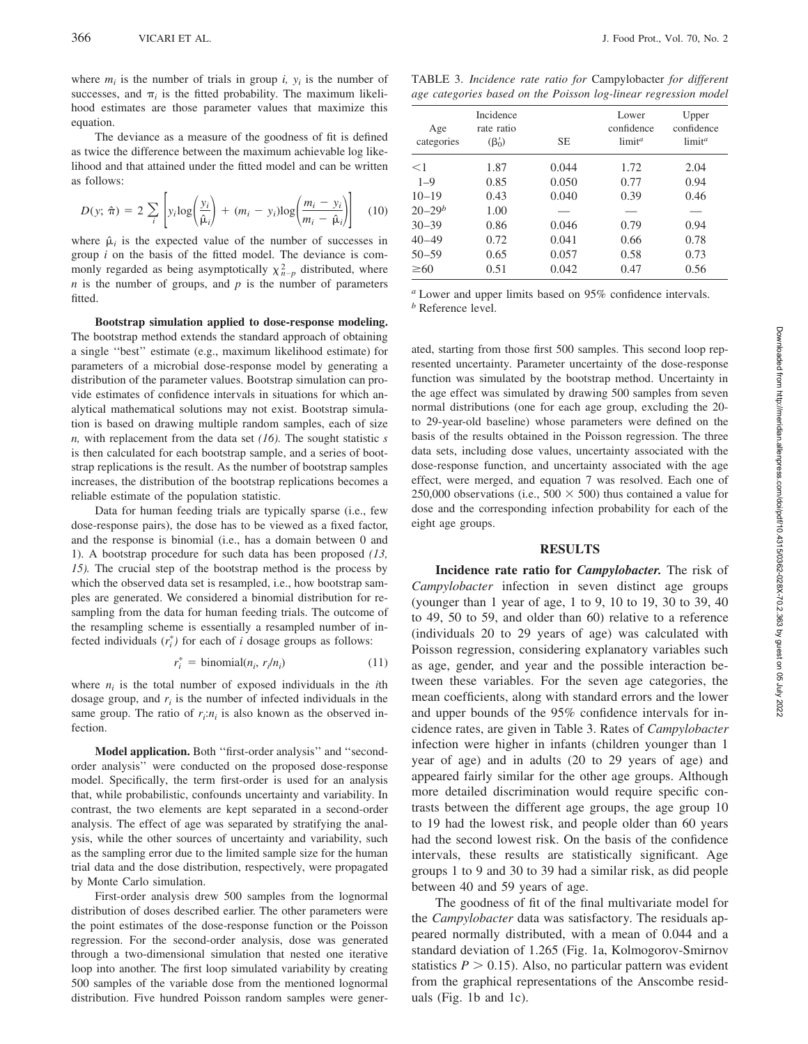where  $m_i$  is the number of trials in group *i*,  $y_i$  is the number of successes, and  $\pi_i$  is the fitted probability. The maximum likelihood estimates are those parameter values that maximize this equation.

The deviance as a measure of the goodness of fit is defined as twice the difference between the maximum achievable log likelihood and that attained under the fitted model and can be written as follows:

$$
D(y; \hat{\pi}) = 2 \sum_{i} \left[ y_i \log \left( \frac{y_i}{\hat{\mu}_i} \right) + (m_i - y_i) \log \left( \frac{m_i - y_i}{m_i - \hat{\mu}_i} \right) \right]
$$
 (10)

where  $\hat{\mu}_i$  is the expected value of the number of successes in group *i* on the basis of the fitted model. The deviance is commonly regarded as being asymptotically  $\chi^2_{n-p}$  distributed, where  $n$  is the number of groups, and  $p$  is the number of parameters fitted.

**Bootstrap simulation applied to dose-response modeling.** The bootstrap method extends the standard approach of obtaining a single ''best'' estimate (e.g., maximum likelihood estimate) for parameters of a microbial dose-response model by generating a distribution of the parameter values. Bootstrap simulation can provide estimates of confidence intervals in situations for which analytical mathematical solutions may not exist. Bootstrap simulation is based on drawing multiple random samples, each of size *n,* with replacement from the data set *(16).* The sought statistic *s* is then calculated for each bootstrap sample, and a series of bootstrap replications is the result. As the number of bootstrap samples increases, the distribution of the bootstrap replications becomes a reliable estimate of the population statistic.

Data for human feeding trials are typically sparse (i.e., few dose-response pairs), the dose has to be viewed as a fixed factor, and the response is binomial (i.e., has a domain between 0 and 1). A bootstrap procedure for such data has been proposed *(13, 15).* The crucial step of the bootstrap method is the process by which the observed data set is resampled, i.e., how bootstrap samples are generated. We considered a binomial distribution for resampling from the data for human feeding trials. The outcome of the resampling scheme is essentially a resampled number of infected individuals  $(r_i^*)$  for each of *i* dosage groups as follows:

$$
r_i^* = binomial(n_i, r_i/n_i)
$$
 (11)

where  $n_i$  is the total number of exposed individuals in the *i*th dosage group, and *ri* is the number of infected individuals in the same group. The ratio of  $r_i$ : $n_i$  is also known as the observed infection.

**Model application.** Both ''first-order analysis'' and ''secondorder analysis'' were conducted on the proposed dose-response model. Specifically, the term first-order is used for an analysis that, while probabilistic, confounds uncertainty and variability. In contrast, the two elements are kept separated in a second-order analysis. The effect of age was separated by stratifying the analysis, while the other sources of uncertainty and variability, such as the sampling error due to the limited sample size for the human trial data and the dose distribution, respectively, were propagated by Monte Carlo simulation.

First-order analysis drew 500 samples from the lognormal distribution of doses described earlier. The other parameters were the point estimates of the dose-response function or the Poisson regression. For the second-order analysis, dose was generated through a two-dimensional simulation that nested one iterative loop into another. The first loop simulated variability by creating 500 samples of the variable dose from the mentioned lognormal distribution. Five hundred Poisson random samples were gener-

TABLE 3. *Incidence rate ratio for* Campylobacter *for different age categories based on the Poisson log-linear regression model*

| Age<br>categories | Incidence<br>rate ratio<br>$(\beta_0')$ | <b>SE</b> | Lower<br>confidence<br>limit <sup>a</sup> | Upper<br>confidence<br>limit <sup>a</sup> |
|-------------------|-----------------------------------------|-----------|-------------------------------------------|-------------------------------------------|
| $<$ 1             | 1.87                                    | 0.044     | 1.72                                      | 2.04                                      |
| $1 - 9$           | 0.85                                    | 0.050     | 0.77                                      | 0.94                                      |
| $10 - 19$         | 0.43                                    | 0.040     | 0.39                                      | 0.46                                      |
| $20 - 29^b$       | 1.00                                    |           |                                           |                                           |
| $30 - 39$         | 0.86                                    | 0.046     | 0.79                                      | 0.94                                      |
| $40 - 49$         | 0.72                                    | 0.041     | 0.66                                      | 0.78                                      |
| $50 - 59$         | 0.65                                    | 0.057     | 0.58                                      | 0.73                                      |
| $\geq 60$         | 0.51                                    | 0.042     | 0.47                                      | 0.56                                      |
|                   |                                         |           |                                           |                                           |

*<sup>a</sup>* Lower and upper limits based on 95% confidence intervals. *<sup>b</sup>* Reference level.

ated, starting from those first 500 samples. This second loop represented uncertainty. Parameter uncertainty of the dose-response function was simulated by the bootstrap method. Uncertainty in the age effect was simulated by drawing 500 samples from seven normal distributions (one for each age group, excluding the 20 to 29-year-old baseline) whose parameters were defined on the basis of the results obtained in the Poisson regression. The three data sets, including dose values, uncertainty associated with the dose-response function, and uncertainty associated with the age effect, were merged, and equation 7 was resolved. Each one of 250,000 observations (i.e.,  $500 \times 500$ ) thus contained a value for dose and the corresponding infection probability for each of the eight age groups.

### **RESULTS**

**Incidence rate ratio for** *Campylobacter.* The risk of *Campylobacter* infection in seven distinct age groups (younger than 1 year of age, 1 to 9, 10 to 19, 30 to 39, 40 to 49, 50 to 59, and older than 60) relative to a reference (individuals 20 to 29 years of age) was calculated with Poisson regression, considering explanatory variables such as age, gender, and year and the possible interaction between these variables. For the seven age categories, the mean coefficients, along with standard errors and the lower and upper bounds of the 95% confidence intervals for incidence rates, are given in Table 3. Rates of *Campylobacter* infection were higher in infants (children younger than 1 year of age) and in adults (20 to 29 years of age) and appeared fairly similar for the other age groups. Although more detailed discrimination would require specific contrasts between the different age groups, the age group 10 to 19 had the lowest risk, and people older than 60 years had the second lowest risk. On the basis of the confidence intervals, these results are statistically significant. Age groups 1 to 9 and 30 to 39 had a similar risk, as did people between 40 and 59 years of age.

The goodness of fit of the final multivariate model for the *Campylobacter* data was satisfactory. The residuals appeared normally distributed, with a mean of 0.044 and a standard deviation of 1.265 (Fig. 1a, Kolmogorov-Smirnov statistics  $P > 0.15$ ). Also, no particular pattern was evident from the graphical representations of the Anscombe residuals (Fig. 1b and 1c).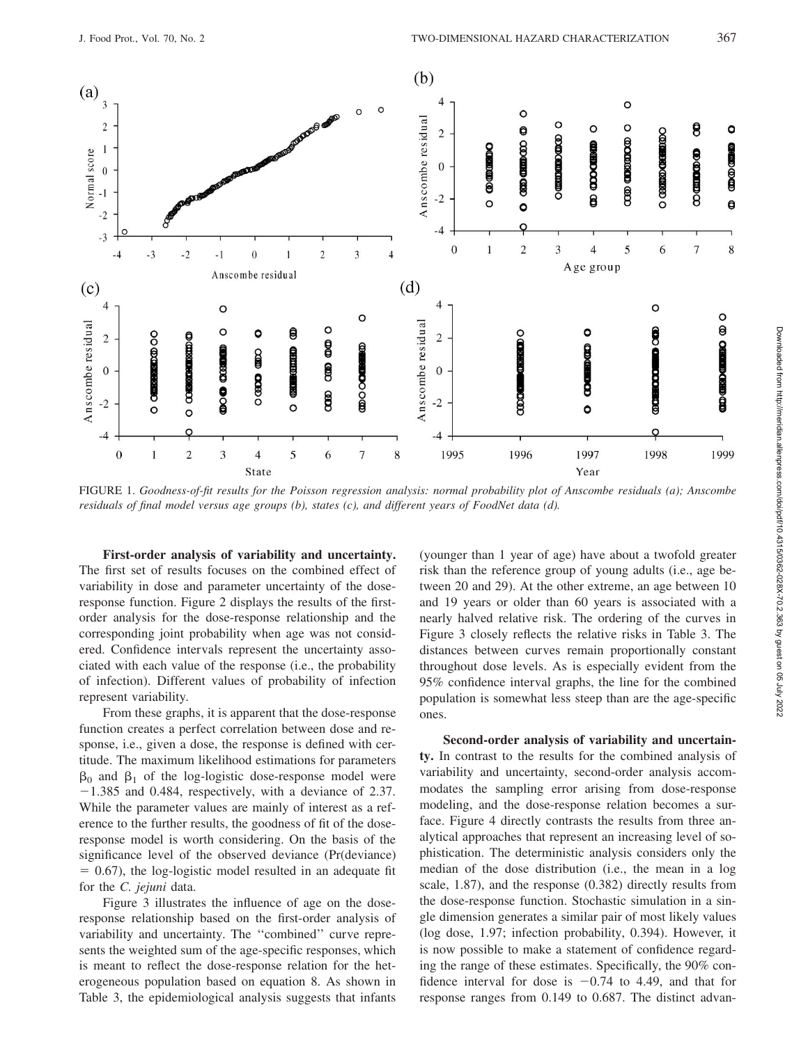

FIGURE 1. *Goodness-of-fit results for the Poisson regression analysis: normal probability plot of Anscombe residuals (a); Anscombe residuals of final model versus age groups (b), states (c), and different years of FoodNet data (d).*

**First-order analysis of variability and uncertainty.** The first set of results focuses on the combined effect of variability in dose and parameter uncertainty of the doseresponse function. Figure 2 displays the results of the firstorder analysis for the dose-response relationship and the corresponding joint probability when age was not considered. Confidence intervals represent the uncertainty associated with each value of the response (i.e., the probability of infection). Different values of probability of infection represent variability.

From these graphs, it is apparent that the dose-response function creates a perfect correlation between dose and response, i.e., given a dose, the response is defined with certitude. The maximum likelihood estimations for parameters  $\beta_0$  and  $\beta_1$  of the log-logistic dose-response model were  $-1.385$  and 0.484, respectively, with a deviance of 2.37. While the parameter values are mainly of interest as a reference to the further results, the goodness of fit of the doseresponse model is worth considering. On the basis of the significance level of the observed deviance (Pr(deviance)  $= 0.67$ ), the log-logistic model resulted in an adequate fit for the *C. jejuni* data.

Figure 3 illustrates the influence of age on the doseresponse relationship based on the first-order analysis of variability and uncertainty. The ''combined'' curve represents the weighted sum of the age-specific responses, which is meant to reflect the dose-response relation for the heterogeneous population based on equation 8. As shown in Table 3, the epidemiological analysis suggests that infants (younger than 1 year of age) have about a twofold greater risk than the reference group of young adults (i.e., age between 20 and 29). At the other extreme, an age between 10 and 19 years or older than 60 years is associated with a nearly halved relative risk. The ordering of the curves in Figure 3 closely reflects the relative risks in Table 3. The distances between curves remain proportionally constant throughout dose levels. As is especially evident from the 95% confidence interval graphs, the line for the combined population is somewhat less steep than are the age-specific ones.

**Second-order analysis of variability and uncertainty.** In contrast to the results for the combined analysis of variability and uncertainty, second-order analysis accommodates the sampling error arising from dose-response modeling, and the dose-response relation becomes a surface. Figure 4 directly contrasts the results from three analytical approaches that represent an increasing level of sophistication. The deterministic analysis considers only the median of the dose distribution (i.e., the mean in a log scale, 1.87), and the response (0.382) directly results from the dose-response function. Stochastic simulation in a single dimension generates a similar pair of most likely values (log dose, 1.97; infection probability, 0.394). However, it is now possible to make a statement of confidence regarding the range of these estimates. Specifically, the 90% confidence interval for dose is  $-0.74$  to 4.49, and that for response ranges from 0.149 to 0.687. The distinct advan-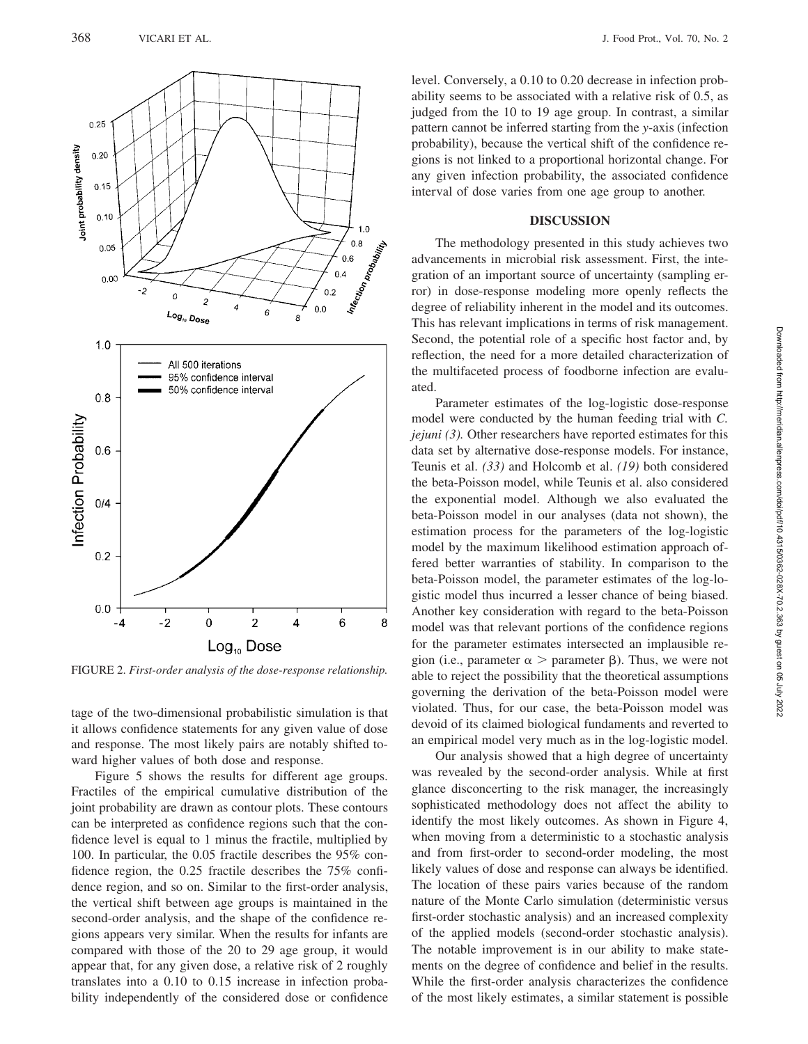

FIGURE 2. *First-order analysis of the dose-response relationship.*

tage of the two-dimensional probabilistic simulation is that it allows confidence statements for any given value of dose and response. The most likely pairs are notably shifted toward higher values of both dose and response.

Figure 5 shows the results for different age groups. Fractiles of the empirical cumulative distribution of the joint probability are drawn as contour plots. These contours can be interpreted as confidence regions such that the confidence level is equal to 1 minus the fractile, multiplied by 100. In particular, the 0.05 fractile describes the 95% confidence region, the 0.25 fractile describes the 75% confidence region, and so on. Similar to the first-order analysis, the vertical shift between age groups is maintained in the second-order analysis, and the shape of the confidence regions appears very similar. When the results for infants are compared with those of the 20 to 29 age group, it would appear that, for any given dose, a relative risk of 2 roughly translates into a 0.10 to 0.15 increase in infection probability independently of the considered dose or confidence

level. Conversely, a 0.10 to 0.20 decrease in infection probability seems to be associated with a relative risk of 0.5, as judged from the 10 to 19 age group. In contrast, a similar pattern cannot be inferred starting from the *y*-axis (infection probability), because the vertical shift of the confidence regions is not linked to a proportional horizontal change. For any given infection probability, the associated confidence interval of dose varies from one age group to another.

## **DISCUSSION**

The methodology presented in this study achieves two advancements in microbial risk assessment. First, the integration of an important source of uncertainty (sampling error) in dose-response modeling more openly reflects the degree of reliability inherent in the model and its outcomes. This has relevant implications in terms of risk management. Second, the potential role of a specific host factor and, by reflection, the need for a more detailed characterization of the multifaceted process of foodborne infection are evaluated.

Parameter estimates of the log-logistic dose-response model were conducted by the human feeding trial with *C. jejuni (3).* Other researchers have reported estimates for this data set by alternative dose-response models. For instance, Teunis et al. *(33)* and Holcomb et al. *(19)* both considered the beta-Poisson model, while Teunis et al. also considered the exponential model. Although we also evaluated the beta-Poisson model in our analyses (data not shown), the estimation process for the parameters of the log-logistic model by the maximum likelihood estimation approach offered better warranties of stability. In comparison to the beta-Poisson model, the parameter estimates of the log-logistic model thus incurred a lesser chance of being biased. Another key consideration with regard to the beta-Poisson model was that relevant portions of the confidence regions for the parameter estimates intersected an implausible region (i.e., parameter  $\alpha$  > parameter  $\beta$ ). Thus, we were not able to reject the possibility that the theoretical assumptions governing the derivation of the beta-Poisson model were violated. Thus, for our case, the beta-Poisson model was devoid of its claimed biological fundaments and reverted to an empirical model very much as in the log-logistic model.

Our analysis showed that a high degree of uncertainty was revealed by the second-order analysis. While at first glance disconcerting to the risk manager, the increasingly sophisticated methodology does not affect the ability to identify the most likely outcomes. As shown in Figure 4, when moving from a deterministic to a stochastic analysis and from first-order to second-order modeling, the most likely values of dose and response can always be identified. The location of these pairs varies because of the random nature of the Monte Carlo simulation (deterministic versus first-order stochastic analysis) and an increased complexity of the applied models (second-order stochastic analysis). The notable improvement is in our ability to make statements on the degree of confidence and belief in the results. While the first-order analysis characterizes the confidence of the most likely estimates, a similar statement is possible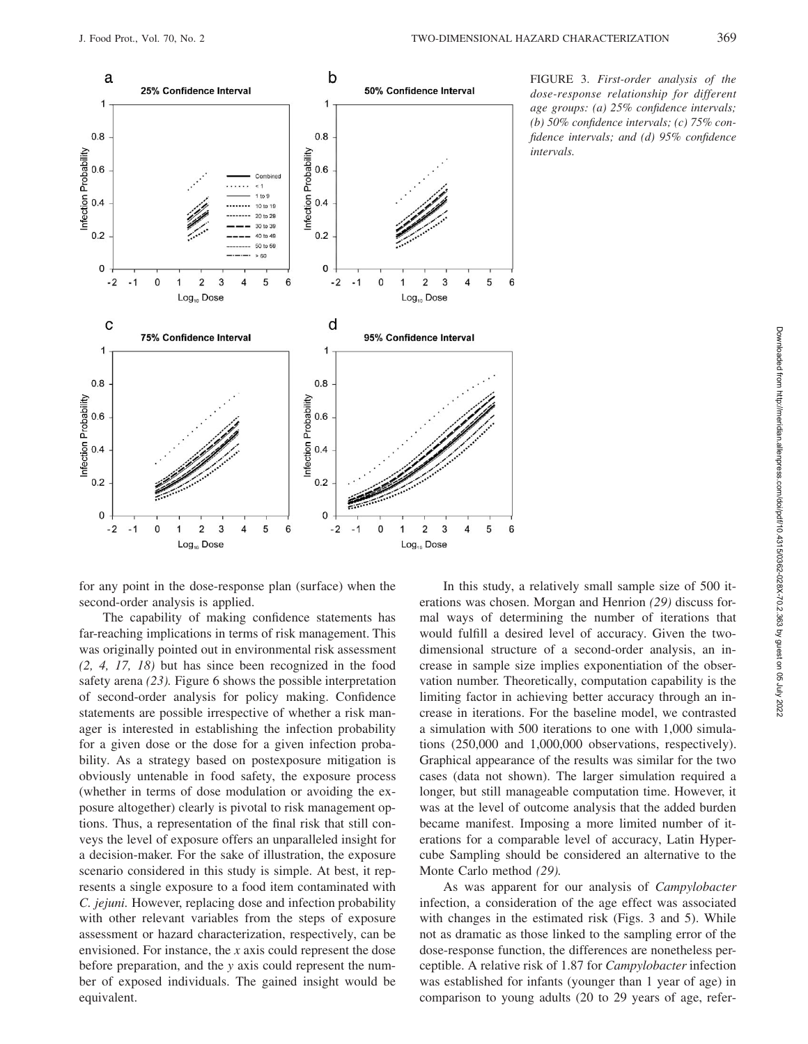

FIGURE 3. *First-order analysis of the dose-response relationship for different age groups: (a) 25% confidence intervals; (b) 50% confidence intervals; (c) 75% confidence intervals; and (d) 95% confidence intervals.*

for any point in the dose-response plan (surface) when the second-order analysis is applied.

The capability of making confidence statements has far-reaching implications in terms of risk management. This was originally pointed out in environmental risk assessment *(2, 4, 17, 18)* but has since been recognized in the food safety arena *(23).* Figure 6 shows the possible interpretation of second-order analysis for policy making. Confidence statements are possible irrespective of whether a risk manager is interested in establishing the infection probability for a given dose or the dose for a given infection probability. As a strategy based on postexposure mitigation is obviously untenable in food safety, the exposure process (whether in terms of dose modulation or avoiding the exposure altogether) clearly is pivotal to risk management options. Thus, a representation of the final risk that still conveys the level of exposure offers an unparalleled insight for a decision-maker. For the sake of illustration, the exposure scenario considered in this study is simple. At best, it represents a single exposure to a food item contaminated with *C. jejuni.* However, replacing dose and infection probability with other relevant variables from the steps of exposure assessment or hazard characterization, respectively, can be envisioned. For instance, the *x* axis could represent the dose before preparation, and the *y* axis could represent the number of exposed individuals. The gained insight would be equivalent.

In this study, a relatively small sample size of 500 iterations was chosen. Morgan and Henrion *(29)* discuss formal ways of determining the number of iterations that would fulfill a desired level of accuracy. Given the twodimensional structure of a second-order analysis, an increase in sample size implies exponentiation of the observation number. Theoretically, computation capability is the limiting factor in achieving better accuracy through an increase in iterations. For the baseline model, we contrasted a simulation with 500 iterations to one with 1,000 simulations (250,000 and 1,000,000 observations, respectively). Graphical appearance of the results was similar for the two cases (data not shown). The larger simulation required a longer, but still manageable computation time. However, it was at the level of outcome analysis that the added burden became manifest. Imposing a more limited number of iterations for a comparable level of accuracy, Latin Hypercube Sampling should be considered an alternative to the Monte Carlo method *(29).*

As was apparent for our analysis of *Campylobacter* infection, a consideration of the age effect was associated with changes in the estimated risk (Figs. 3 and 5). While not as dramatic as those linked to the sampling error of the dose-response function, the differences are nonetheless perceptible. A relative risk of 1.87 for *Campylobacter* infection was established for infants (younger than 1 year of age) in comparison to young adults (20 to 29 years of age, refer-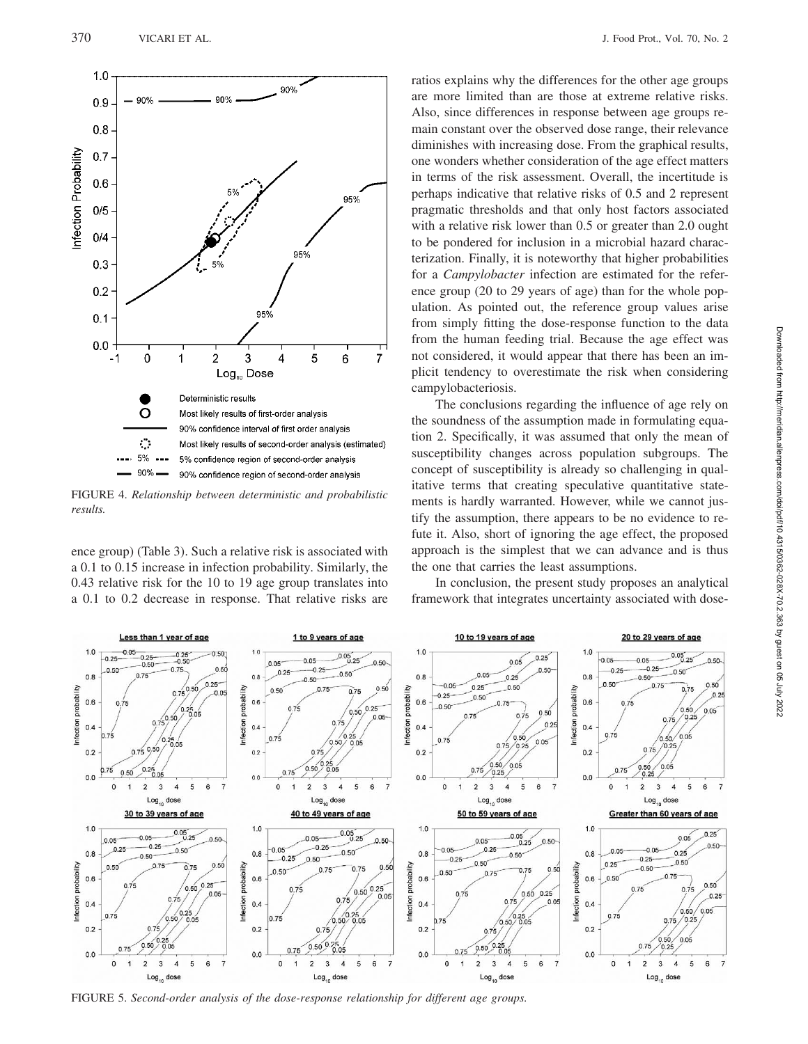

FIGURE 4. *Relationship between deterministic and probabilistic results.*

ence group) (Table 3). Such a relative risk is associated with a 0.1 to 0.15 increase in infection probability. Similarly, the 0.43 relative risk for the 10 to 19 age group translates into a 0.1 to 0.2 decrease in response. That relative risks are

ratios explains why the differences for the other age groups are more limited than are those at extreme relative risks. Also, since differences in response between age groups remain constant over the observed dose range, their relevance diminishes with increasing dose. From the graphical results, one wonders whether consideration of the age effect matters in terms of the risk assessment. Overall, the incertitude is perhaps indicative that relative risks of 0.5 and 2 represent pragmatic thresholds and that only host factors associated with a relative risk lower than 0.5 or greater than 2.0 ought to be pondered for inclusion in a microbial hazard characterization. Finally, it is noteworthy that higher probabilities for a *Campylobacter* infection are estimated for the reference group (20 to 29 years of age) than for the whole population. As pointed out, the reference group values arise from simply fitting the dose-response function to the data from the human feeding trial. Because the age effect was not considered, it would appear that there has been an implicit tendency to overestimate the risk when considering campylobacteriosis.

The conclusions regarding the influence of age rely on the soundness of the assumption made in formulating equation 2. Specifically, it was assumed that only the mean of susceptibility changes across population subgroups. The concept of susceptibility is already so challenging in qualitative terms that creating speculative quantitative statements is hardly warranted. However, while we cannot justify the assumption, there appears to be no evidence to refute it. Also, short of ignoring the age effect, the proposed approach is the simplest that we can advance and is thus the one that carries the least assumptions.

In conclusion, the present study proposes an analytical framework that integrates uncertainty associated with dose-



FIGURE 5. *Second-order analysis of the dose-response relationship for different age groups.*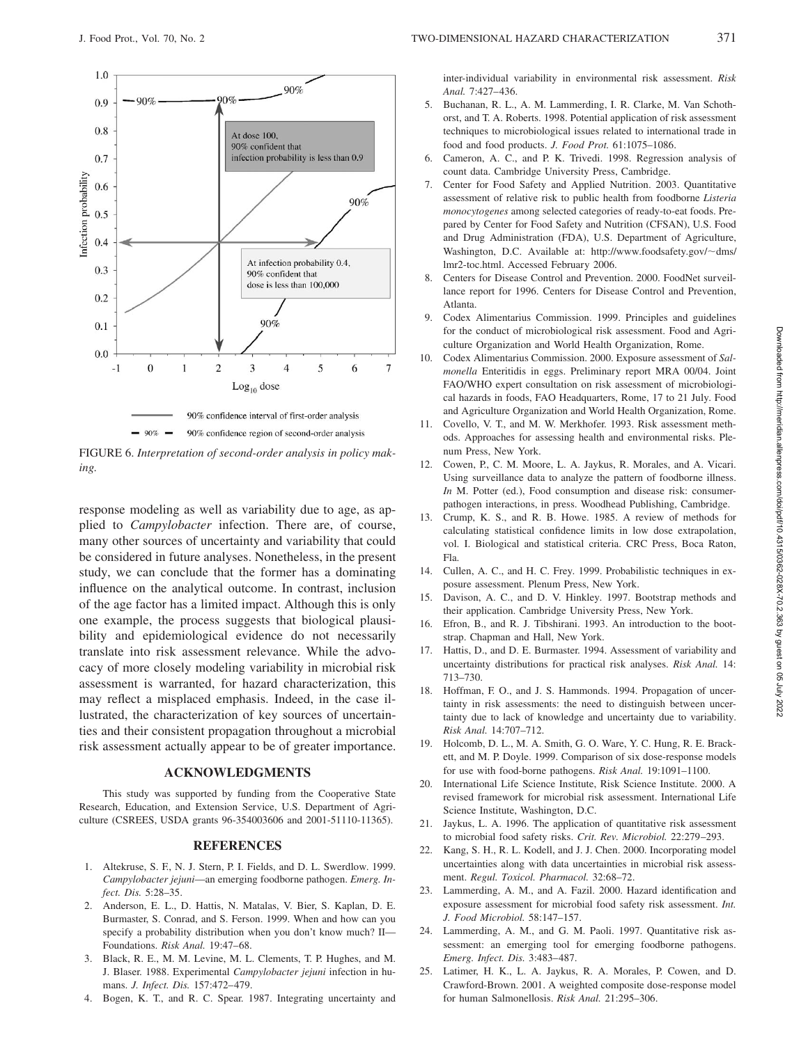

FIGURE 6. *Interpretation of second-order analysis in policy making.*

response modeling as well as variability due to age, as applied to *Campylobacter* infection. There are, of course, many other sources of uncertainty and variability that could be considered in future analyses. Nonetheless, in the present study, we can conclude that the former has a dominating influence on the analytical outcome. In contrast, inclusion of the age factor has a limited impact. Although this is only one example, the process suggests that biological plausibility and epidemiological evidence do not necessarily translate into risk assessment relevance. While the advocacy of more closely modeling variability in microbial risk assessment is warranted, for hazard characterization, this may reflect a misplaced emphasis. Indeed, in the case illustrated, the characterization of key sources of uncertainties and their consistent propagation throughout a microbial risk assessment actually appear to be of greater importance.

## **ACKNOWLEDGMENTS**

This study was supported by funding from the Cooperative State Research, Education, and Extension Service, U.S. Department of Agriculture (CSREES, USDA grants 96-354003606 and 2001-51110-11365).

#### **REFERENCES**

- 1. Altekruse, S. F., N. J. Stern, P. I. Fields, and D. L. Swerdlow. 1999. *Campylobacter jejuni*—an emerging foodborne pathogen. *Emerg. Infect. Dis.* 5:28–35.
- 2. Anderson, E. L., D. Hattis, N. Matalas, V. Bier, S. Kaplan, D. E. Burmaster, S. Conrad, and S. Ferson. 1999. When and how can you specify a probability distribution when you don't know much? II— Foundations. *Risk Anal.* 19:47–68.
- 3. Black, R. E., M. M. Levine, M. L. Clements, T. P. Hughes, and M. J. Blaser. 1988. Experimental *Campylobacter jejuni* infection in humans. *J. Infect. Dis.* 157:472–479.
- Bogen, K. T., and R. C. Spear. 1987. Integrating uncertainty and

inter-individual variability in environmental risk assessment. *Risk Anal.* 7:427–436.

- 5. Buchanan, R. L., A. M. Lammerding, I. R. Clarke, M. Van Schothorst, and T. A. Roberts. 1998. Potential application of risk assessment techniques to microbiological issues related to international trade in food and food products. *J. Food Prot.* 61:1075–1086.
- 6. Cameron, A. C., and P. K. Trivedi. 1998. Regression analysis of count data. Cambridge University Press, Cambridge.
- 7. Center for Food Safety and Applied Nutrition. 2003. Quantitative assessment of relative risk to public health from foodborne *Listeria monocytogenes* among selected categories of ready-to-eat foods. Prepared by Center for Food Safety and Nutrition (CFSAN), U.S. Food and Drug Administration (FDA), U.S. Department of Agriculture, Washington, D.C. Available at: http://www.foodsafety.gov/~dms/ lmr2-toc.html. Accessed February 2006.
- 8. Centers for Disease Control and Prevention. 2000. FoodNet surveillance report for 1996. Centers for Disease Control and Prevention, Atlanta.
- 9. Codex Alimentarius Commission. 1999. Principles and guidelines for the conduct of microbiological risk assessment. Food and Agriculture Organization and World Health Organization, Rome.
- 10. Codex Alimentarius Commission. 2000. Exposure assessment of *Salmonella* Enteritidis in eggs. Preliminary report MRA 00/04. Joint FAO/WHO expert consultation on risk assessment of microbiological hazards in foods, FAO Headquarters, Rome, 17 to 21 July. Food and Agriculture Organization and World Health Organization, Rome.
- 11. Covello, V. T., and M. W. Merkhofer. 1993. Risk assessment methods. Approaches for assessing health and environmental risks. Plenum Press, New York.
- 12. Cowen, P., C. M. Moore, L. A. Jaykus, R. Morales, and A. Vicari. Using surveillance data to analyze the pattern of foodborne illness. *In* M. Potter (ed.), Food consumption and disease risk: consumerpathogen interactions, in press. Woodhead Publishing, Cambridge.
- 13. Crump, K. S., and R. B. Howe. 1985. A review of methods for calculating statistical confidence limits in low dose extrapolation, vol. I. Biological and statistical criteria. CRC Press, Boca Raton, Fla.
- 14. Cullen, A. C., and H. C. Frey. 1999. Probabilistic techniques in exposure assessment. Plenum Press, New York.
- 15. Davison, A. C., and D. V. Hinkley. 1997. Bootstrap methods and their application. Cambridge University Press, New York.
- 16. Efron, B., and R. J. Tibshirani. 1993. An introduction to the bootstrap. Chapman and Hall, New York.
- 17. Hattis, D., and D. E. Burmaster. 1994. Assessment of variability and uncertainty distributions for practical risk analyses. *Risk Anal.* 14: 713–730.
- 18. Hoffman, F. O., and J. S. Hammonds. 1994. Propagation of uncertainty in risk assessments: the need to distinguish between uncertainty due to lack of knowledge and uncertainty due to variability. *Risk Anal.* 14:707–712.
- 19. Holcomb, D. L., M. A. Smith, G. O. Ware, Y. C. Hung, R. E. Brackett, and M. P. Doyle. 1999. Comparison of six dose-response models for use with food-borne pathogens. *Risk Anal.* 19:1091–1100.
- 20. International Life Science Institute, Risk Science Institute. 2000. A revised framework for microbial risk assessment. International Life Science Institute, Washington, D.C.
- 21. Jaykus, L. A. 1996. The application of quantitative risk assessment to microbial food safety risks. *Crit. Rev. Microbiol.* 22:279–293.
- 22. Kang, S. H., R. L. Kodell, and J. J. Chen. 2000. Incorporating model uncertainties along with data uncertainties in microbial risk assessment. *Regul. Toxicol. Pharmacol.* 32:68–72.
- 23. Lammerding, A. M., and A. Fazil. 2000. Hazard identification and exposure assessment for microbial food safety risk assessment. *Int. J. Food Microbiol.* 58:147–157.
- 24. Lammerding, A. M., and G. M. Paoli. 1997. Quantitative risk assessment: an emerging tool for emerging foodborne pathogens. *Emerg. Infect. Dis.* 3:483–487.
- 25. Latimer, H. K., L. A. Jaykus, R. A. Morales, P. Cowen, and D. Crawford-Brown. 2001. A weighted composite dose-response model for human Salmonellosis. *Risk Anal.* 21:295–306.